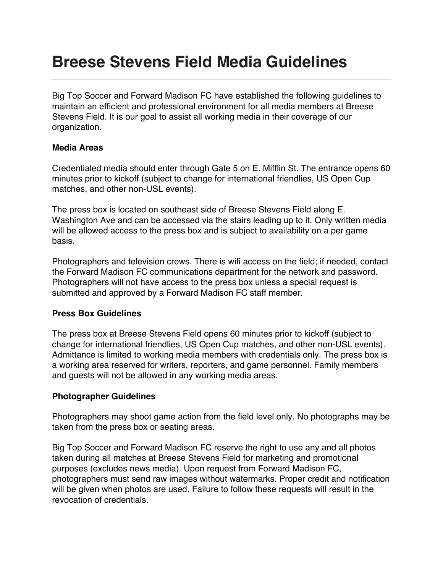# **Breese Stevens Field Media Guidelines**

Big Top Soccer and Forward Madison FC have established the following guidelines to maintain an efficient and professional environment for all media members at Breese Stevens Field. It is our goal to assist all working media in their coverage of our organization.

## **Media Areas**

Credentialed media should enter through Gate 5 on E. Mifflin St. The entrance opens 60 minutes prior to kickoff (subject to change for international friendlies, US Open Cup matches, and other non-USL events).

The press box is located on southeast side of Breese Stevens Field along E. Washington Ave and can be accessed via the stairs leading up to it. Only written media will be allowed access to the press box and is subject to availability on a per game basis.

Photographers and television crews. There is wifi access on the field; if needed, contact the Forward Madison FC communications department for the network and password. Photographers will not have access to the press box unless a special request is submitted and approved by a Forward Madison FC staff member.

# **Press Box Guidelines**

The press box at Breese Stevens Field opens 60 minutes prior to kickoff (subject to change for international friendlies, US Open Cup matches, and other non-USL events). Admittance is limited to working media members with credentials only. The press box is a working area reserved for writers, reporters, and game personnel. Family members and guests will not be allowed in any working media areas.

# **Photographer Guidelines**

Photographers may shoot game action from the field level only. No photographs may be taken from the press box or seating areas.

Big Top Soccer and Forward Madison FC reserve the right to use any and all photos taken during all matches at Breese Stevens Field for marketing and promotional purposes (excludes news media). Upon request from Forward Madison FC, photographers must send raw images without watermarks. Proper credit and notification will be given when photos are used. Failure to follow these requests will result in the revocation of credentials.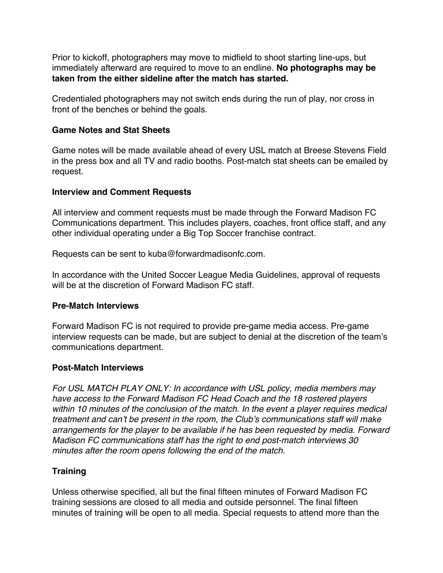Prior to kickoff, photographers may move to midfield to shoot starting line-ups, but immediately afterward are required to move to an endline. **No photographs may be taken from the either sideline after the match has started.**

Credentialed photographers may not switch ends during the run of play, nor cross in front of the benches or behind the goals.

### **Game Notes and Stat Sheets**

Game notes will be made available ahead of every USL match at Breese Stevens Field in the press box and all TV and radio booths. Post-match stat sheets can be emailed by request.

## **Interview and Comment Requests**

All interview and comment requests must be made through the Forward Madison FC Communications department. This includes players, coaches, front office staff, and any other individual operating under a Big Top Soccer franchise contract.

Requests can be sent to kuba@forwardmadisonfc.com.

In accordance with the United Soccer League Media Guidelines, approval of requests will be at the discretion of Forward Madison FC staff.

### **Pre-Match Interviews**

Forward Madison FC is not required to provide pre-game media access. Pre-game interview requests can be made, but are subject to denial at the discretion of the team's communications department.

### **Post-Match Interviews**

*For USL MATCH PLAY ONLY: In accordance with USL policy, media members may have access to the Forward Madison FC Head Coach and the 18 rostered players within 10 minutes of the conclusion of the match. In the event a player requires medical treatment and can't be present in the room, the Club's communications staff will make arrangements for the player to be available if he has been requested by media. Forward Madison FC communications staff has the right to end post-match interviews 30 minutes after the room opens following the end of the match.*

# **Training**

Unless otherwise specified, all but the final fifteen minutes of Forward Madison FC training sessions are closed to all media and outside personnel. The final fifteen minutes of training will be open to all media. Special requests to attend more than the